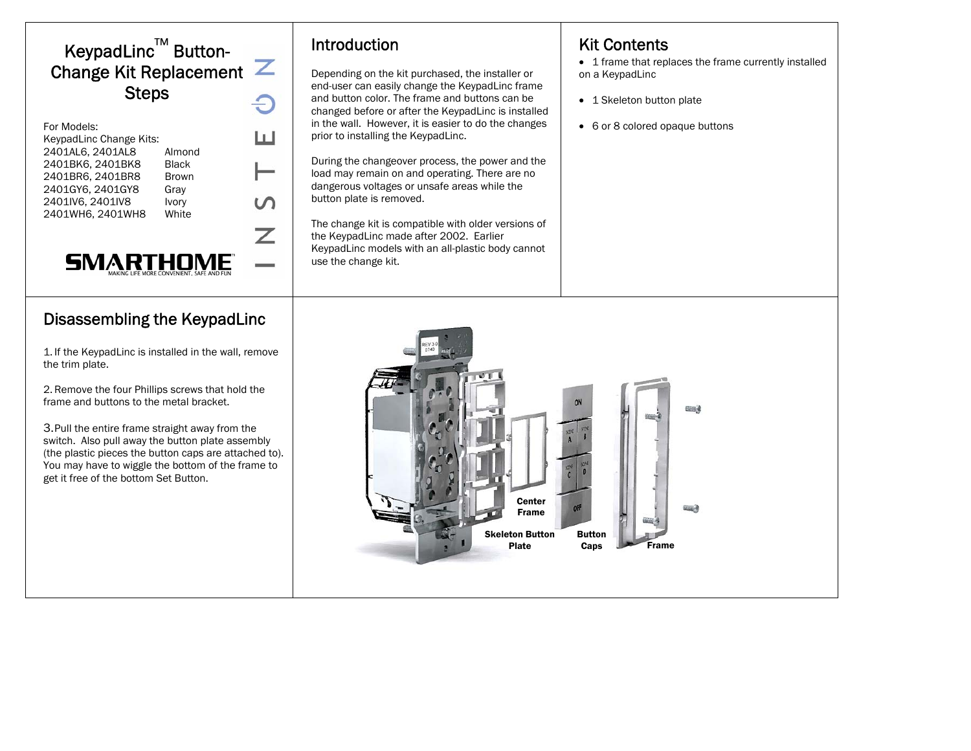# KeypadLinc™ Button-Change Kit Replacement  $\mathbb Z$ **Steps**

| For Models:                |  |
|----------------------------|--|
| KeypadLinc Change Kits:    |  |
| 2401AL6, 2401AL8<br>Almond |  |
| 2401BK6, 2401BK8<br>Black  |  |
| 2401BR6, 2401BR8<br>Brown  |  |
| 2401GY6, 2401GY8<br>Gray   |  |
| 2401IV6, 2401IV8<br>Ivory  |  |
| 2401WH6, 2401WH8<br>White  |  |
|                            |  |
|                            |  |
|                            |  |

### Disassembling the KeypadLinc

SIVIAR I HUIVIE

1. If the KeypadLinc is installed in the wall, remove the trim plate.

2. Remove the four Phillips screws that hold the frame and buttons to the metal bracket.

3.Pull the entire frame straight away from the switch. Also pull away the button plate assembly (the plastic pieces the button caps are attached to). You may have to wiggle the bottom of the frame to get it free of the bottom Set Button.

### Introduction

Depending on the kit purchased, the installer or end-user can easily change the KeypadLinc frame and button color. The frame and buttons can be changed before or after the KeypadLinc is installed in the wall. However, it is easier to do the changes prior to installing the KeypadLinc.

During the changeover process, the power and the load may remain on and operating. There are no dangerous voltages or unsafe areas while the button plate is removed.

The change kit is compatible with older versions of the KeypadLinc made after 2002. Earlier KeypadLinc models with an all-plastic body cannot use the change kit.

### Kit Contents

• 1 frame that replaces the frame currently installed on a KeypadLinc

- 1 Skeleton button plate
- 6 or 8 colored opaque buttons